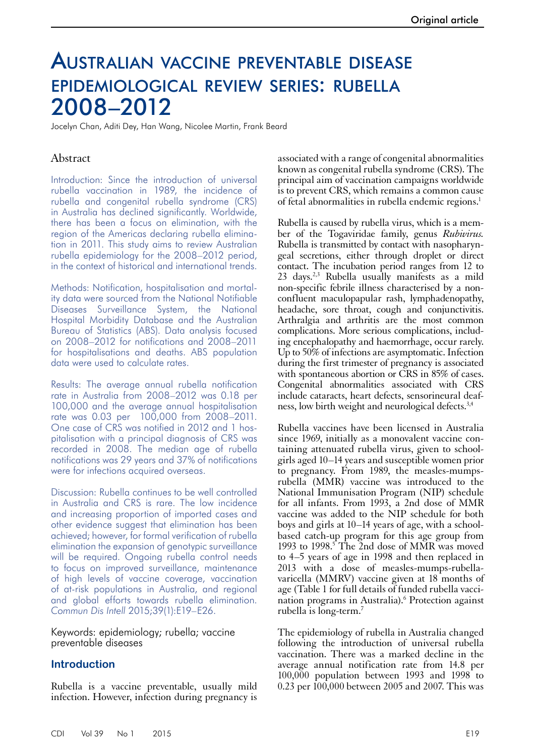# Australian vaccine preventable disease epidemiological review series: rubella 2008–2012

Jocelyn Chan, Aditi Dey, Han Wang, Nicolee Martin, Frank Beard

# Abstract

Introduction: Since the introduction of universal rubella vaccination in 1989, the incidence of rubella and congenital rubella syndrome (CRS) in Australia has declined significantly. Worldwide, there has been a focus on elimination, with the region of the Americas declaring rubella elimination in 2011. This study aims to review Australian rubella epidemiology for the 2008–2012 period, in the context of historical and international trends.

Methods: Notification, hospitalisation and mortality data were sourced from the National Notifiable Diseases Surveillance System, the National Hospital Morbidity Database and the Australian Bureau of Statistics (ABS). Data analysis focused on 2008–2012 for notifications and 2008–2011 for hospitalisations and deaths. ABS population data were used to calculate rates.

Results: The average annual rubella notification rate in Australia from 2008–2012 was 0.18 per 100,000 and the average annual hospitalisation rate was 0.03 per 100,000 from 2008–2011. One case of CRS was notified in 2012 and 1 hospitalisation with a principal diagnosis of CRS was recorded in 2008. The median age of rubella notifications was 29 years and 37% of notifications were for infections acquired overseas.

Discussion: Rubella continues to be well controlled in Australia and CRS is rare. The low incidence and increasing proportion of imported cases and other evidence suggest that elimination has been achieved; however, for formal verification of rubella elimination the expansion of genotypic surveillance will be required. Ongoing rubella control needs to focus on improved surveillance, maintenance of high levels of vaccine coverage, vaccination of at-risk populations in Australia, and regional and global efforts towards rubella elimination. *Commun Dis Intell* 2015;39(1):E19–E26.

Keywords: epidemiology; rubella; vaccine preventable diseases

# **Introduction**

Rubella is a vaccine preventable, usually mild infection. However, infection during pregnancy is

associated with a range of congenital abnormalities known as congenital rubella syndrome (CRS). The principal aim of vaccination campaigns worldwide is to prevent CRS, which remains a common cause of fetal abnormalities in rubella endemic regions.<sup>1</sup>

Rubella is caused by rubella virus, which is a member of the Togaviridae family, genus *Rubivirus.* Rubella is transmitted by contact with nasopharyngeal secretions, either through droplet or direct contact. The incubation period ranges from 12 to 23 days.2,3 Rubella usually manifests as a mild non-specific febrile illness characterised by a nonconfluent maculopapular rash, lymphadenopathy, headache, sore throat, cough and conjunctivitis. Arthralgia and arthritis are the most common complications. More serious complications, including encephalopathy and haemorrhage, occur rarely. Up to 50% of infections are asymptomatic. Infection during the first trimester of pregnancy is associated with spontaneous abortion or CRS in 85% of cases. Congenital abnormalities associated with CRS include cataracts, heart defects, sensorineural deafness, low birth weight and neurological defects.<sup>3,4</sup>

Rubella vaccines have been licensed in Australia since 1969, initially as a monovalent vaccine con-<br>taining attenuated rubella virus, given to school-<br>girls aged 10–14 years and susceptible women prior to pregnancy. From 1989, the measles-mumpsrubella (MMR) vaccine was introduced to the National Immunisation Program (NIP) schedule for all infants. From 1993, a 2nd dose of MMR vaccine was added to the NIP schedule for both boys and girls at 10–14 years of age, with a schoolbased catch-up program for this age group from 1993 to 1998.<sup>5</sup> The 2nd dose of MMR was moved to 4–5 years of age in 1998 and then replaced in 2013 with a dose of measles-mumps-rubellavaricella (MMRV) vaccine given at 18 months of age (Table 1 for full details of funded rubella vaccination programs in Australia).<sup>6</sup> Protection against rubella is long-term.7

The epidemiology of rubella in Australia changed following the introduction of universal rubella vaccination. There was a marked decline in the average annual notification rate from 14.8 per 100,000 population between 1993 and 1998 to 0.23 per 100,000 between 2005 and 2007. This was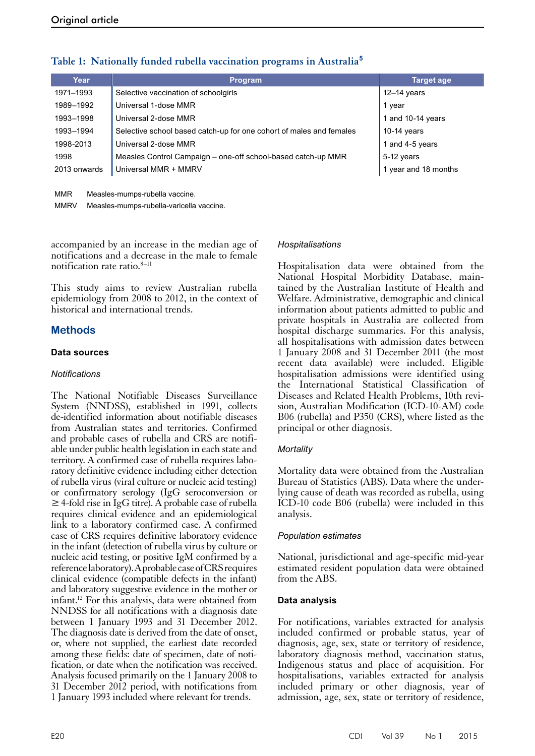| Year         | <b>Program</b>                                                      | <b>Target age</b>    |
|--------------|---------------------------------------------------------------------|----------------------|
| 1971-1993    | Selective vaccination of schoolgirls                                | $12-14$ years        |
| 1989-1992    | Universal 1-dose MMR                                                | 1 year               |
| 1993-1998    | Universal 2-dose MMR                                                | 1 and 10-14 years    |
| 1993-1994    | Selective school based catch-up for one cohort of males and females | $10-14$ years        |
| 1998-2013    | Universal 2-dose MMR                                                | 1 and 4-5 years      |
| 1998         | Measles Control Campaign - one-off school-based catch-up MMR        | 5-12 years           |
| 2013 onwards | Universal MMR + MMRV                                                | 1 year and 18 months |

# **Table 1: Nationally funded rubella vaccination programs in Australia<sup>5</sup>**

MMR Measles-mumps-rubella vaccine.

MMRV Measles-mumps-rubella-varicella vaccine.

accompanied by an increase in the median age of notifications and a decrease in the male to female notification rate ratio.8–11

This study aims to review Australian rubella epidemiology from 2008 to 2012, in the context of historical and international trends.

# **Methods**

# **Data sources**

## *Notifications*

The National Notifiable Diseases Surveillance System (NNDSS), established in 1991, collects de-identified information about notifiable diseases from Australian states and territories. Confirmed and probable cases of rubella and CRS are notifi- able under public health legislation in each state and territory. A confirmed case of rubella requires labo- ratory definitive evidence including either detection of rubella virus (viral culture or nucleic acid testing) or confirmatory serology (IgG seroconversion or ≥ 4-fold rise in IgG titre). A probable case of rubella requires clinical evidence and an epidemiological link to a laboratory confirmed case. A confirmed case of CRS requires definitive laboratory evidence in the infant (detection of rubella virus by culture or nucleic acid testing, or positive IgM confirmed by a reference laboratory). A probable case of CRS requires clinical evidence (compatible defects in the infant) and laboratory suggestive evidence in the mother or infant.12 For this analysis, data were obtained from NNDSS for all notifications with a diagnosis date between 1 January 1993 and 31 December 2012. The diagnosis date is derived from the date of onset, or, where not supplied, the earliest date recorded among these fields: date of specimen, date of notification, or date when the notification was received. Analysis focused primarily on the 1 January 2008 to 31 December 2012 period, with notifications from 1 January 1993 included where relevant for trends.

#### *Hospitalisations*

Hospitalisation data were obtained from the National Hospital Morbidity Database, maintained by the Australian Institute of Health and Welfare. Administrative, demographic and clinical information about patients admitted to public and private hospitals in Australia are collected from hospital discharge summaries. For this analysis, all hospitalisations with admission dates between 1 January 2008 and 31 December 2011 (the most recent data available) were included. Eligible hospitalisation admissions were identified using the International Statistical Classification of Diseases and Related Health Problems, 10th revision, Australian Modification (ICD-10-AM) code B06 (rubella) and P350 (CRS), where listed as the principal or other diagnosis.

#### *Mortality*

Mortality data were obtained from the Australian Bureau of Statistics (ABS). Data where the under- lying cause of death was recorded as rubella, using ICD-10 code B06 (rubella) were included in this analysis.

#### *Population estimates*

National, jurisdictional and age-specific mid-year estimated resident population data were obtained from the ABS.

#### **Data analysis**

For notifications, variables extracted for analysis included confirmed or probable status, year of diagnosis, age, sex, state or territory of residence, laboratory diagnosis method, vaccination status, Indigenous status and place of acquisition. For hospitalisations, variables extracted for analysis included primary or other diagnosis, year of admission, age, sex, state or territory of residence,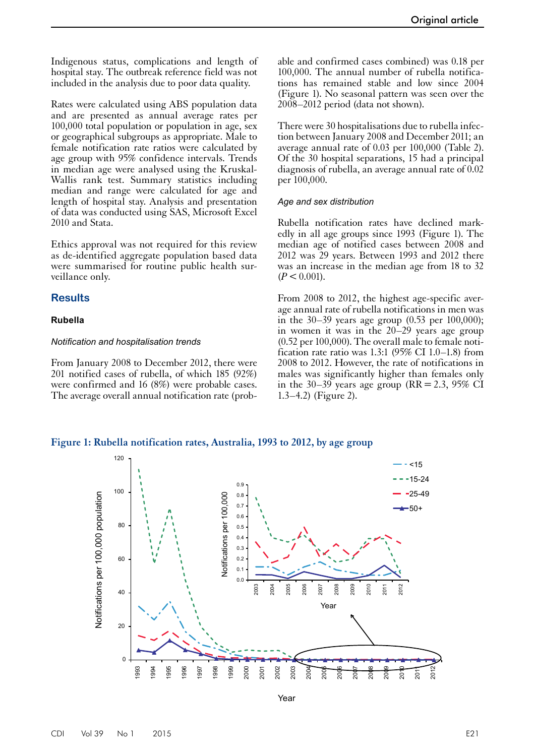Indigenous status, complications and length of hospital stay. The outbreak reference field was not included in the analysis due to poor data quality.

Rates were calculated using ABS population data and are presented as annual average rates per 100,000 total population or population in age, sex or geographical subgroups as appropriate. Male to female notification rate ratios were calculated by age group with 95% confidence intervals. Trends in median age were analysed using the Kruskal-Wallis rank test. Summary statistics including median and range were calculated for age and length of hospital stay. Analysis and presentation of data was conducted using SAS, Microsoft Excel 2010 and Stata.

Ethics approval was not required for this review as de-identified aggregate population based data were summarised for routine public health surveillance only.

#### **Results**

#### **Rubella**

#### *Notification and hospitalisation trends*

From January 2008 to December 2012, there were 201 notified cases of rubella, of which 185 (92%) were confirmed and 16 (8%) were probable cases. The average overall annual notification rate (probable and confirmed cases combined) was 0.18 per 100,000. The annual number of rubella notifications has remained stable and low since 2004 (Figure 1). No seasonal pattern was seen over the 2008–2012 period (data not shown).

There were 30 hospitalisations due to rubella infection between January 2008 and December 2011; an average annual rate of 0.03 per 100,000 (Table 2). Of the 30 hospital separations, 15 had a principal diagnosis of rubella, an average annual rate of 0.02 per 100,000.

#### *Age and sex distribution*

Rubella notification rates have declined markedly in all age groups since 1993 (Figure 1). The median age of notified cases between 2008 and 2012 was 29 years. Between 1993 and 2012 there was an increase in the median age from 18 to 32  $(P < 0.001)$ .

From 2008 to 2012, the highest age-specific average annual rate of rubella notifications in men was in the 30–39 years age group  $(0.53 \text{ per } 100,000)$ ; in women it was in the 20–29 years age group (0.52 per 100,000). The overall male to female notification rate ratio was  $1.3:1$  (95% CI 1.0–1.8) from 2008 to 2012. However, the rate of notifications in males was significantly higher than females only in the 30–39 years age group (RR = 2.3, 95% CI 1.3–4.2) (Figure 2).





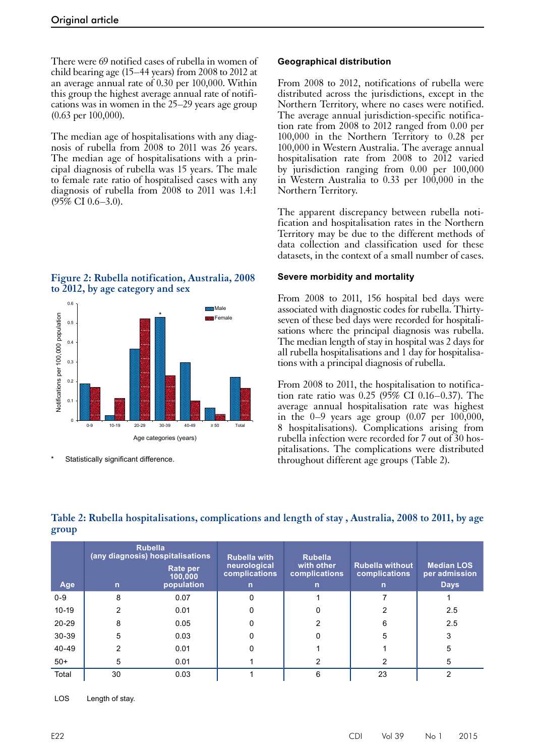There were 69 notified cases of rubella in women of child bearing age (15–44 years) from 2008 to 2012 at an average annual rate of 0.30 per 100,000. Within this group the highest average annual rate of notifications was in women in the 25–29 years age group (0.63 per 100,000).

The median age of hospitalisations with any diagnosis of rubella from 2008 to 2011 was 26 years. The median age of hospitalisations with a principal diagnosis of rubella was 15 years. The male to female rate ratio of hospitalised cases with any diagnosis of rubella from 2008 to 2011 was 1.4:1 (95% CI 0.6–3.0).

# **Figure 2: Rubella notification, Australia, 2008 to 2012, by age category and sex**



Statistically significant difference.

## **Geographical distribution**

From 2008 to 2012, notifications of rubella were distributed across the jurisdictions, except in the Northern Territory, where no cases were notified. The average annual jurisdiction-specific notification rate from 2008 to 2012 ranged from 0.00 per 100,000 in the Northern Territory to 0.28 per 100,000 in Western Australia. The average annual hospitalisation rate from 2008 to 2012 varied by jurisdiction ranging from 0.00 per 100,000 in Western Australia to 0.33 per 100,000 in the Northern Territory.

The apparent discrepancy between rubella notification and hospitalisation rates in the Northern Territory may be due to the different methods of data collection and classification used for these datasets, in the context of a small number of cases.

# **Severe morbidity and mortality**

From 2008 to 2011, 156 hospital bed days were associated with diagnostic codes for rubella. Thirtyseven of these bed days were recorded for hospitalisations where the principal diagnosis was rubella. The median length of stay in hospital was 2 days for all rubella hospitalisations and 1 day for hospitalisations with a principal diagnosis of rubella.

From 2008 to 2011, the hospitalisation to notification rate ratio was 0.25 (95% CI 0.16–0.37). The average annual hospitalisation rate was highest in the  $0-9$  years age group  $(0.07$  per  $100,000$ , 8 hospitalisations). Complications arising from rubella infection were recorded for 7 out of 30 hos-<br>pitalisations. The complications were distributed throughout different age groups (Table 2).

# **Table 2: Rubella hospitalisations, complications and length of stay , Australia, 2008 to 2011, by age group**

|           | <b>Rubella</b><br>(any diagnosis) hospitalisations |                     | <b>Rubella with</b>           | <b>Rubella</b>              |                                         |                                    |
|-----------|----------------------------------------------------|---------------------|-------------------------------|-----------------------------|-----------------------------------------|------------------------------------|
|           |                                                    | Rate per<br>100,000 | neurological<br>complications | with other<br>complications | <b>Rubella without</b><br>complications | <b>Median LOS</b><br>per admission |
| Age       | $\mathsf{n}$                                       | population          | $\mathsf{n}$                  | $\mathsf{n}$                | $\mathbf n$                             | <b>Days</b>                        |
| $0 - 9$   | 8                                                  | 0.07                | 0                             |                             |                                         |                                    |
| $10-19$   |                                                    | 0.01                | 0                             | 0                           |                                         | 2.5                                |
| $20 - 29$ | 8                                                  | 0.05                | 0                             | 2                           | 6                                       | 2.5                                |
| $30 - 39$ | 5                                                  | 0.03                | 0                             | 0                           | 5                                       | 3                                  |
| 40-49     |                                                    | 0.01                | 0                             |                             |                                         | 5                                  |
| $50+$     | 5                                                  | 0.01                |                               |                             | າ                                       | 5                                  |
| Total     | 30                                                 | 0.03                |                               | 6                           | 23                                      |                                    |

LOS Length of stay.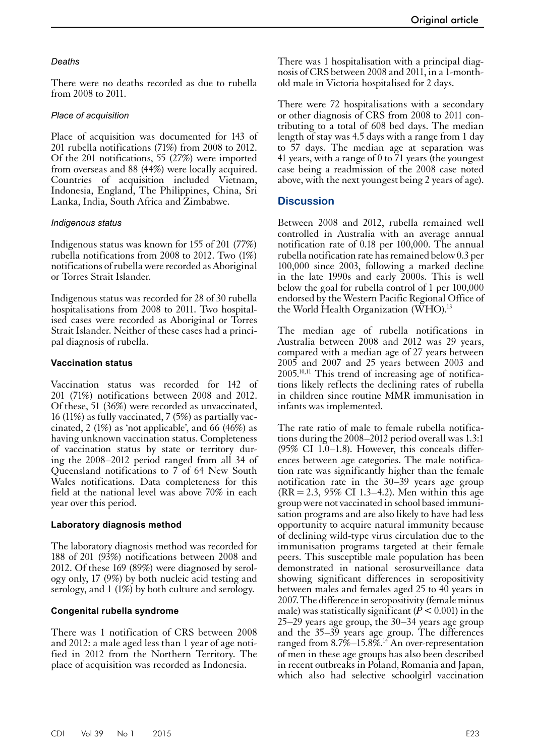# *Deaths*

There were no deaths recorded as due to rubella from 2008 to 2011.

# *Place of acquisition*

Place of acquisition was documented for 143 of 201 rubella notifications (71%) from 2008 to 2012. Of the 201 notifications, 55 (27%) were imported from overseas and 88 (44%) were locally acquired. Countries of acquisition included Vietnam, Indonesia, England, The Philippines, China, Sri Lanka, India, South Africa and Zimbabwe.

# *Indigenous status*

Indigenous status was known for 155 of 201 (77%) rubella notifications from 2008 to 2012. Two (1%) notifications of rubella were recorded as Aboriginal or Torres Strait Islander.

Indigenous status was recorded for 28 of 30 rubella hospitalisations from 2008 to 2011. Two hospitalised cases were recorded as Aboriginal or Torres Strait Islander. Neither of these cases had a principal diagnosis of rubella.

# **Vaccination status**

Vaccination status was recorded for 142 of 201 (71%) notifications between 2008 and 2012. Of these, 51 (36%) were recorded as unvaccinated, <sup>16</sup> (11%) as fully vaccinated, 7 (5%) as partially vac- cinated, 2 (1%) as 'not applicable', and 66 (46%) as having unknown vaccination status. Completeness of vaccination status by state or territory dur- ing the 2008–2012 period ranged from all 34 of Queensland notifications to 7 of 64 New South Wales notifications. Data completeness for this field at the national level was above 70% in each year over this period.

### **Laboratory diagnosis method**

The laboratory diagnosis method was recorded for 188 of 201 (93%) notifications between 2008 and 2012. Of these 169 (89%) were diagnosed by serology only, 17 (9%) by both nucleic acid testing and serology, and 1 (1%) by both culture and serology.

# **Congenital rubella syndrome**

There was 1 notification of CRS between 2008 and 2012: a male aged less than 1 year of age notified in 2012 from the Northern Territory. The place of acquisition was recorded as Indonesia.

There was 1 hospitalisation with a principal diagnosis of CRS between 2008 and 2011, in a 1-monthold male in Victoria hospitalised for 2 days.

There were 72 hospitalisations with a secondary or other diagnosis of CRS from 2008 to 2011 contributing to a total of 608 bed days. The median length of stay was 4.5 days with a range from 1 day to 57 days. The median age at separation was 41 years, with a range of 0 to 71 years (the youngest case being a readmission of the 2008 case noted above, with the next youngest being 2 years of age).

# **Discussion**

Between 2008 and 2012, rubella remained well controlled in Australia with an average annual notification rate of 0.18 per 100,000. The annual rubella notification rate has remained below 0.3 per 100,000 since 2003, following a marked decline in the late 1990s and early 2000s. This is well below the goal for rubella control of 1 per 100,000 endorsed by the Western Pacific Regional Office of the World Health Organization (WHO).<sup>13</sup>

The median age of rubella notifications in Australia between 2008 and 2012 was 29 years, compared with a median age of 27 years between 2005 and 2007 and 25 years between 2003 and 2005.10,11 This trend of increasing age of notifications likely reflects the declining rates of rubella in children since routine MMR immunisation in infants was implemented.

The rate ratio of male to female rubella notifica- tions during the 2008–2012 period overall was 1.3:1 (95% CI 1.0–1.8). However, this conceals differences between age categories. The male notification rate was significantly higher than the female notification rate in the 30–39 years age group (RR=2.3, 95% CI 1.3–4.2). Men within this age group were not vaccinated in school based immuni- sation programs and are also likely to have had less opportunity to acquire natural immunity because of declining wild-type virus circulation due to the immunisation programs targeted at their female peers. This susceptible male population has been demonstrated in national serosurveillance data showing significant differences in seropositivity between males and females aged 25 to 40 years in 2007. The difference in seropositivity (female minus male) was statistically significant  $(P < 0.001)$  in the 25–29 years age group, the 30–34 years age group and the 35–39 years age group. The differences ranged from  $8.7\%$  –15.8%.<sup>14</sup> An over-representation of men in these age groups has also been described in recent outbreaks in Poland, Romania and Japan, which also had selective schoolgirl vaccination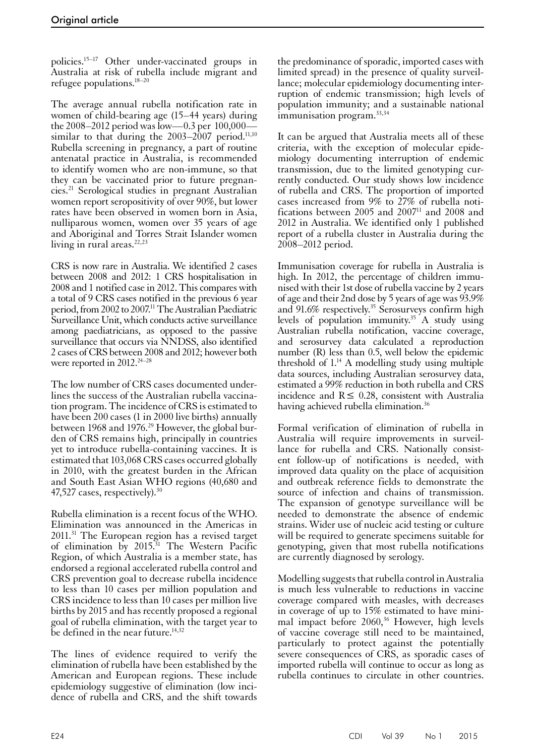policies.15–17 Other under-vaccinated groups in Australia at risk of rubella include migrant and refugee populations.18–20

The average annual rubella notification rate in women of child-bearing age (15–44 years) during the 2008–2012 period was low—0.3 per 100,000 similar to that during the  $2003-2007$  period.<sup>11,10</sup> Rubella screening in pregnancy, a part of routine antenatal practice in Australia, is recommended to identify women who are non-immune, so that they can be vaccinated prior to future pregnancies.21 Serological studies in pregnant Australian women report seropositivity of over 90%, but lower rates have been observed in women born in Asia, nulliparous women, women over 35 years of age and Aboriginal and Torres Strait Islander women living in rural areas. $22,23$ 

CRS is now rare in Australia. We identified 2 cases between 2008 and 2012: 1 CRS hospitalisation in 2008 and 1 notified case in 2012. This compares with a total of 9 CRS cases notified in the previous 6 year period, from 2002 to 2007.11 The Australian Paediatric Surveillance Unit, which conducts active surveillance among paediatricians, as opposed to the passive surveillance that occurs via NNDSS, also identified 2 cases of CRS between 2008 and 2012; however both were reported in 2012.<sup>24-28</sup>

The low number of CRS cases documented underlines the success of the Australian rubella vaccination program. The incidence of CRS is estimated to have been 200 cases (1 in 2000 live births) annually between 1968 and 1976.<sup>29</sup> However, the global bur-<br>den of CRS remains high, principally in countries yet to introduce rubella-containing vaccines. It is estimated that 103,068 CRS cases occurred globally in 2010, with the greatest burden in the African and South East Asian WHO regions (40,680 and 47,527 cases, respectively).<sup>30</sup>

Rubella elimination is a recent focus of the WHO. Elimination was announced in the Americas in 2011.31 The European region has a revised target of elimination by 2015.31 The Western Pacific Region, of which Australia is a member state, has endorsed a regional accelerated rubella control and CRS prevention goal to decrease rubella incidence to less than 10 cases per million population and CRS incidence to less than 10 cases per million live births by 2015 and has recently proposed a regional goal of rubella elimination, with the target year to be defined in the near future. $14,32$ 

The lines of evidence required to verify the elimination of rubella have been established by the American and European regions. These include epidemiology suggestive of elimination (low incidence of rubella and CRS, and the shift towards

the predominance of sporadic, imported cases with limited spread) in the presence of quality surveillance; molecular epidemiology documenting interruption of endemic transmission; high levels of population immunity; and a sustainable national immunisation program.<sup>33,34</sup>

It can be argued that Australia meets all of these criteria, with the exception of molecular epidemiology documenting interruption of endemic transmission, due to the limited genotyping currently conducted. Our study shows low incidence of rubella and CRS. The proportion of imported cases increased from 9% to 27% of rubella notifications between 2005 and 2007<sup>11</sup> and 2008 and 2012 in Australia. We identified only 1 published report of a rubella cluster in Australia during the 2008–2012 period.

Immunisation coverage for rubella in Australia is high. In 2012, the percentage of children immunised with their 1st dose of rubella vaccine by 2 years of age and their 2nd dose by 5 years of age was 93.9% and 91.6% respectively.<sup>35</sup> Serosurveys confirm high levels of population immunity.35 A study using Australian rubella notification, vaccine coverage, and serosurvey data calculated a reproduction number (R) less than 0.5, well below the epidemic threshold of  $1.14$  A modelling study using multiple data sources, including Australian serosurvey data, estimated a 99% reduction in both rubella and CRS incidence and  $R \leq 0.28$ , consistent with Australia having achieved rubella elimination.<sup>36</sup>

Formal verification of elimination of rubella in Australia will require improvements in surveil-<br>lance for rubella and CRS. Nationally consist-<br>ent follow-up of notifications is needed, with improved data quality on the place of acquisition and outbreak reference fields to demonstrate the source of infection and chains of transmission. The expansion of genotype surveillance will be needed to demonstrate the absence of endemic strains. Wider use of nucleic acid testing or culture will be required to generate specimens suitable for genotyping, given that most rubella notifications are currently diagnosed by serology.

Modelling suggests that rubella control in Australia is much less vulnerable to reductions in vaccine coverage compared with measles, with decreases in coverage of up to  $15\%$  estimated to have mini-<br>mal impact before  $2060<sub>1</sub><sup>36</sup>$  However, high levels of vaccine coverage still need to be maintained, particularly to protect against the potentially severe consequences of CRS, as sporadic cases of imported rubella will continue to occur as long as rubella continues to circulate in other countries.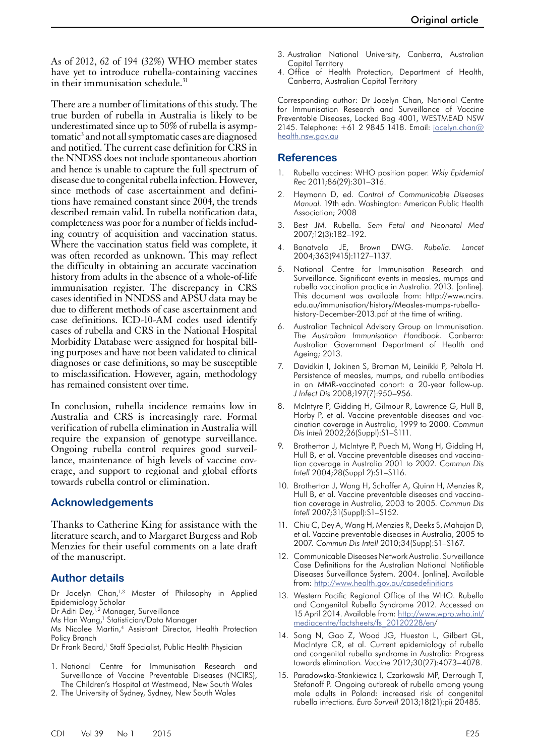As of 2012, 62 of 194 (32%) WHO member states have yet to introduce rubella-containing vaccines in their immunisation schedule.<sup>31</sup>

There are a number of limitations of this study. The true burden of rubella in Australia is likely to be underestimated since up to 50% of rubella is asymptomatic<sup>3</sup> and not all symptomatic cases are diagnosed and notified. The current case definition for CRS in the NNDSS does not include spontaneous abortion and hence is unable to capture the full spectrum of disease due to congenital rubella infection. However, since methods of case ascertainment and definitions have remained constant since 2004, the trends described remain valid. In rubella notification data, completeness was poor for a number of fields including country of acquisition and vaccination status. Where the vaccination status field was complete, it was often recorded as unknown. This may reflect the difficulty in obtaining an accurate vaccination history from adults in the absence of a whole-of-life immunisation register. The discrepancy in CRS cases identified in NNDSS and APSU data may be due to different methods of case ascertainment and case definitions. ICD-10-AM codes used identify cases of rubella and CRS in the National Hospital Morbidity Database were assigned for hospital billing purposes and have not been validated to clinical diagnoses or case definitions, so may be susceptible to misclassification. However, again, methodology has remained consistent over time.

In conclusion, rubella incidence remains low in Australia and CRS is increasingly rare. Formal verification of rubella elimination in Australia will require the expansion of genotype surveillance. Ongoing rubella control requires good surveil- lance, maintenance of high levels of vaccine cov- erage, and support to regional and global efforts towards rubella control or elimination.

# **Acknowledgements**

Thanks to Catherine King for assistance with the literature search, and to Margaret Burgess and Rob Menzies for their useful comments on a late draft of the manuscript.

# **Author details**

Dr Jocelyn Chan,<sup>1,3</sup> Master of Philosophy in Applied Epidemiology Scholar

Dr Aditi Dey,<sup>1,2</sup> Manager, Surveillance

Ms Han Wang,<sup>1</sup> Statistician/Data Manager

Ms Nicolee Martin,4 Assistant Director, Health Protection Policy Branch

- Dr Frank Beard,<sup>1</sup> Staff Specialist, Public Health Physician
- 1. National Centre for Immunisation Research and Surveillance of Vaccine Preventable Diseases (NCIRS), The Children's Hospital at Westmead, New South Wales
- 2. The University of Sydney, Sydney, New South Wales
- 3. Australian National University, Canberra, Australian Capital Territory
- 4. Office of Health Protection, Department of Health, Canberra, Australian Capital Territory

Corresponding author: Dr Jocelyn Chan, National Centre for Immunisation Research and Surveillance of Vaccine Preventable Diseases, Locked Bag 4001, WESTMEAD NSW 2145. Telephone: +61 2 9845 1418. Email: [jocelyn.chan@](mailto:jocelyn.chan@health.nsw.gov.au) [health.nsw.gov.au](mailto:jocelyn.chan@health.nsw.gov.au)

#### **References**

- 1. Rubella vaccines: WHO position paper*. Wkly Epidemiol Rec* 2011;86(29):301–316.
- 2. Heymann D, ed. *Control of Communicable Diseases Manual*. 19th edn. Washington: American Public Health Association; 2008
- 3. Best JM. Rubella. *Sem Fetal and Neonatal Med* 2007;12(3):182–192.
- 4. Banatvala JE, Brown DWG. *Rubella. Lancet* 2004;363(9415):1127–1137.
- National Centre for Immunisation Research and Surveillance. Significant events in measles, mumps and rubella vaccination practice in Australia. 2013. [online]. This document was available from: http://www.ncirs. edu.au/immunisation/history/Measles-mumps-rubellahistory-December-2013.pdf at the time of writing.
- 6. Australian Technical Advisory Group on Immunisation. *The Australian Immunisation Handbook*. Canberra: Australian Government Department of Health and Ageing; 2013.
- 7. Davidkin I, Jokinen S, Broman M, Leinikki P, Peltola H. Persistence of measles, mumps, and rubella antibodies in an MMR-vaccinated cohort: a 20-year follow-up*. J Infect Dis* 2008;197(7):950–956.
- 8. McIntyre P, Gidding H, Gilmour R, Lawrence G, Hull B, Horby P, et al. Vaccine preventable diseases and vaccination coverage in Australia, 1999 to 2000*. Commun Dis Intell* 2002;26(Suppl):S1–S111.
- 9. Brotherton J, McIntyre P, Puech M, Wang H, Gidding H, Hull B, et al. Vaccine preventable diseases and vaccination coverage in Australia 2001 to 2002*. Commun Dis Intell* 2004;28(Suppl 2):S1–S116.
- 10. Brotherton J, Wang H, Schaffer A, Quinn H, Menzies R, Hull B, et al. Vaccine preventable diseases and vaccination coverage in Australia, 2003 to 2005*. Commun Dis Intell* 2007;31(Suppl):S1–S152.
- 11. Chiu C, Dey A, Wang H, Menzies R, Deeks S, Mahajan D, et al. Vaccine preventable diseases in Australia, 2005 to 2007*. Commun Dis Intell* 2010;34(Supp):S1–S167.
- 12. Communicable Diseases Network Australia. Surveillance Case Definitions for the Australian National Notifiable Diseases Surveillance System. 2004. [online]. Available from: <http://www.health.gov.au/casedefinitions>
- 13. Western Pacific Regional Office of the WHO. Rubella and Congenital Rubella Syndrome 2012. Accessed on 15 April 2014. Available from: [http://www.wpro.who.int/](http://www.wpro.who.int/mediacentre/factsheets/fs_20120228/en) [mediacentre/factsheets/fs\\_20120228/en](http://www.wpro.who.int/mediacentre/factsheets/fs_20120228/en)/
- 14. Song N, Gao Z, Wood JG, Hueston L, Gilbert GL, MacIntyre CR, et al. Current epidemiology of rubella and congenital rubella syndrome in Australia: Progress towards elimination*. Vaccine* 2012;30(27):4073–4078.
- 15. Paradowska-Stankiewicz I, Czarkowski MP, Derrough T, Stefanoff P. Ongoing outbreak of rubella among young male adults in Poland: increased risk of congenital rubella infections*. Euro Surveill* 2013;18(21):pii 20485.